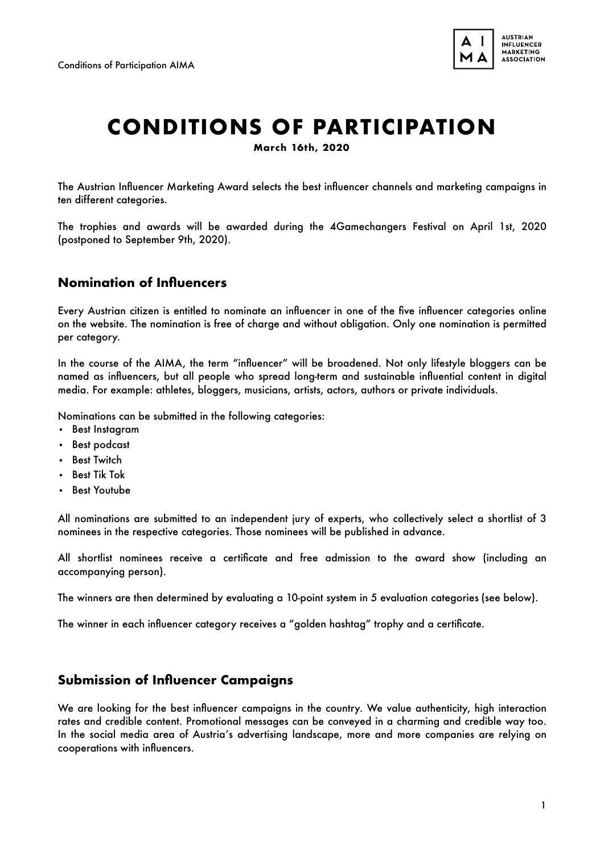

# **CONDITIONS OF PARTICIPATION**

**March 16th, 2020** 

The Austrian Influencer Marketing Award selects the best influencer channels and marketing campaigns in ten different categories.

The trophies and awards will be awarded during the 4Gamechangers Festival on April 1st, 2020 (postponed to September 9th, 2020).

### **Nomination of Influencers**

Every Austrian citizen is entitled to nominate an influencer in one of the five influencer categories online on the website. The nomination is free of charge and without obligation. Only one nomination is permitted per category.

In the course of the AIMA, the term "influencer" will be broadened. Not only lifestyle bloggers can be named as influencers, but all people who spread long-term and sustainable influential content in digital media. For example: athletes, bloggers, musicians, artists, actors, authors or private individuals.

Nominations can be submitted in the following categories:

- Best Instagram
- Best podcast
- Best Twitch
- Best Tik Tok
- Best Youtube

All nominations are submitted to an independent jury of experts, who collectively select a shortlist of 3 nominees in the respective categories. Those nominees will be published in advance.

All shortlist nominees receive a certificate and free admission to the award show (including an accompanying person).

The winners are then determined by evaluating a 10-point system in 5 evaluation categories (see below).

The winner in each influencer category receives a "golden hashtag" trophy and a certificate.

## **Submission of Influencer Campaigns**

We are looking for the best influencer campaigns in the country. We value authenticity, high interaction rates and credible content. Promotional messages can be conveyed in a charming and credible way too. In the social media area of Austria's advertising landscape, more and more companies are relying on cooperations with influencers.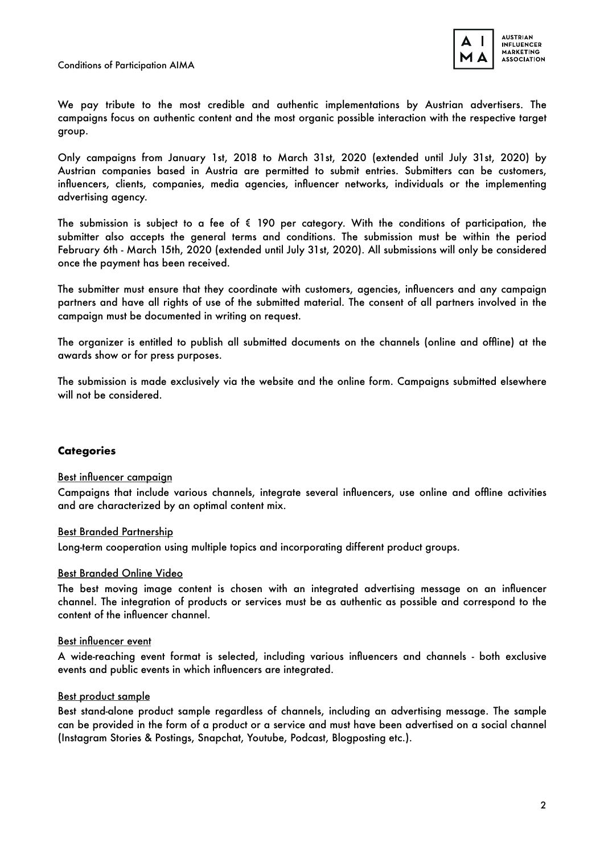

We pay tribute to the most credible and authentic implementations by Austrian advertisers. The campaigns focus on authentic content and the most organic possible interaction with the respective target group.

Only campaigns from January 1st, 2018 to March 31st, 2020 (extended until July 31st, 2020) by Austrian companies based in Austria are permitted to submit entries. Submitters can be customers, influencers, clients, companies, media agencies, influencer networks, individuals or the implementing advertising agency.

The submission is subject to a fee of  $\epsilon$  190 per category. With the conditions of participation, the submitter also accepts the general terms and conditions. The submission must be within the period February 6th - March 15th, 2020 (extended until July 31st, 2020). All submissions will only be considered once the payment has been received.

The submitter must ensure that they coordinate with customers, agencies, influencers and any campaign partners and have all rights of use of the submitted material. The consent of all partners involved in the campaign must be documented in writing on request.

The organizer is entitled to publish all submitted documents on the channels (online and offline) at the awards show or for press purposes.

The submission is made exclusively via the website and the online form. Campaigns submitted elsewhere will not be considered.

#### **Categories**

#### Best influencer campaign

Campaigns that include various channels, integrate several influencers, use online and offline activities and are characterized by an optimal content mix.

#### Best Branded Partnership

Long-term cooperation using multiple topics and incorporating different product groups.

#### Best Branded Online Video

The best moving image content is chosen with an integrated advertising message on an influencer channel. The integration of products or services must be as authentic as possible and correspond to the content of the influencer channel.

#### Best influencer event

A wide-reaching event format is selected, including various influencers and channels - both exclusive events and public events in which influencers are integrated.

#### Best product sample

Best stand-alone product sample regardless of channels, including an advertising message. The sample can be provided in the form of a product or a service and must have been advertised on a social channel (Instagram Stories & Postings, Snapchat, Youtube, Podcast, Blogposting etc.).